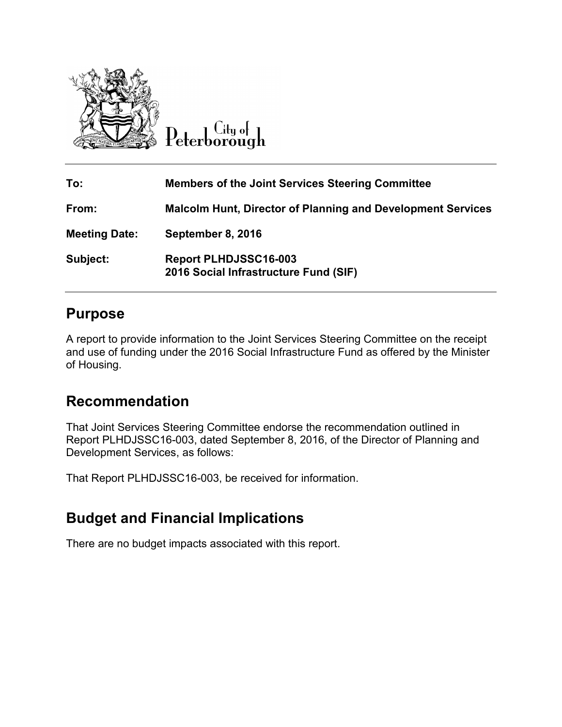

Peterborough

| To:                  | <b>Members of the Joint Services Steering Committee</b>               |
|----------------------|-----------------------------------------------------------------------|
| From:                | <b>Malcolm Hunt, Director of Planning and Development Services</b>    |
| <b>Meeting Date:</b> | September 8, 2016                                                     |
| Subject:             | <b>Report PLHDJSSC16-003</b><br>2016 Social Infrastructure Fund (SIF) |

#### **Purpose**

A report to provide information to the Joint Services Steering Committee on the receipt and use of funding under the 2016 Social Infrastructure Fund as offered by the Minister of Housing.

## **Recommendation**

That Joint Services Steering Committee endorse the recommendation outlined in Report PLHDJSSC16-003, dated September 8, 2016, of the Director of Planning and Development Services, as follows:

That Report PLHDJSSC16-003, be received for information.

## **Budget and Financial Implications**

There are no budget impacts associated with this report.